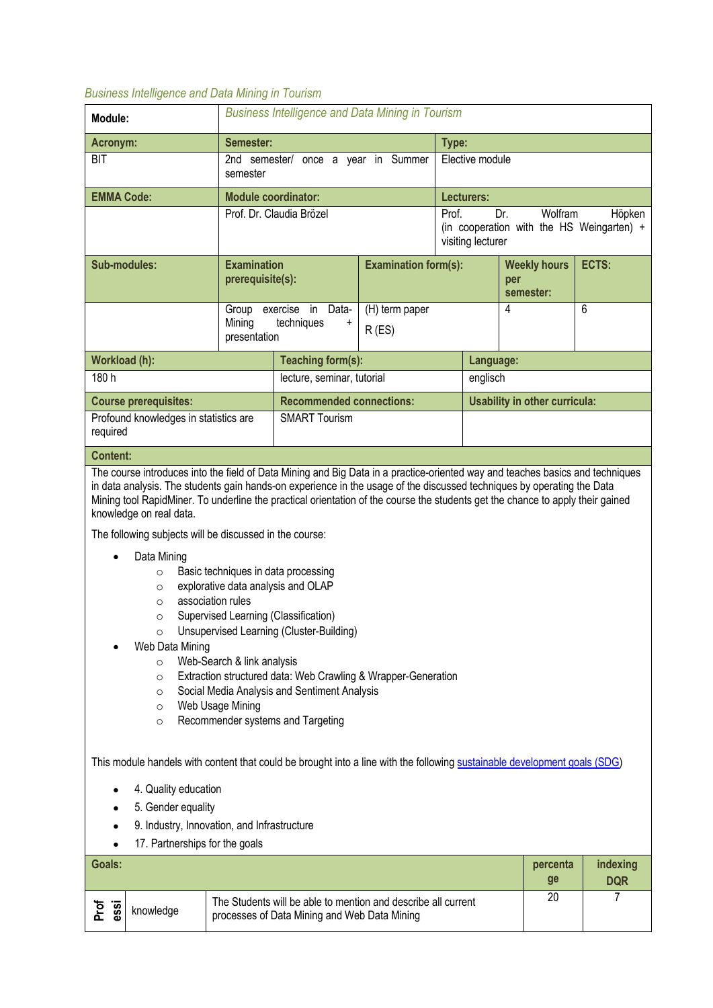## *Business Intelligence and Data Mining in Tourism*

| Module:                                           | <b>Business Intelligence and Data Mining in Tourism</b> |                                        |                             |  |                                                                                                     |                                         |       |  |
|---------------------------------------------------|---------------------------------------------------------|----------------------------------------|-----------------------------|--|-----------------------------------------------------------------------------------------------------|-----------------------------------------|-------|--|
| Acronym:                                          | Semester:                                               |                                        |                             |  | Type:                                                                                               |                                         |       |  |
| <b>BIT</b>                                        | semester                                                | once a year in Summer<br>2nd semester/ |                             |  | Elective module                                                                                     |                                         |       |  |
| <b>EMMA Code:</b>                                 | <b>Module coordinator:</b>                              |                                        |                             |  | Lecturers:                                                                                          |                                         |       |  |
|                                                   |                                                         | Prof. Dr. Claudia Brözel               |                             |  | Wolfram<br>Höpken<br>Dr.<br>Prof.<br>(in cooperation with the HS Weingarten) +<br>visiting lecturer |                                         |       |  |
| Sub-modules:                                      | <b>Examination</b><br>prerequisite(s):                  |                                        | <b>Examination form(s):</b> |  |                                                                                                     | <b>Weekly hours</b><br>per<br>semester: | ECTS: |  |
|                                                   | Group<br>Mining<br>presentation                         | exercise in Data-<br>techniques<br>+   | (H) term paper<br>R(ES)     |  |                                                                                                     | 4                                       | 6     |  |
| Workload (h):                                     |                                                         | Teaching form(s):                      |                             |  | Language:                                                                                           |                                         |       |  |
| 180h                                              |                                                         | lecture, seminar, tutorial             |                             |  | englisch                                                                                            |                                         |       |  |
| <b>Course prerequisites:</b>                      |                                                         | <b>Recommended connections:</b>        |                             |  | Usability in other curricula:                                                                       |                                         |       |  |
| Profound knowledges in statistics are<br>required |                                                         | <b>SMART Tourism</b>                   |                             |  |                                                                                                     |                                         |       |  |
| <b>Content:</b>                                   |                                                         |                                        |                             |  |                                                                                                     |                                         |       |  |

The course introduces into the field of Data Mining and Big Data in a practice-oriented way and teaches basics and techniques in data analysis. The students gain hands-on experience in the usage of the discussed techniques by operating the Data Mining tool RapidMiner. To underline the practical orientation of the course the students get the chance to apply their gained knowledge on real data.

The following subjects will be discussed in the course:

- Data Mining
	- o Basic techniques in data processing
	- o explorative data analysis and OLAP
	- o association rules
	- o Supervised Learning (Classification)
	- o Unsupervised Learning (Cluster-Building)
- Web Data Mining
	- o Web-Search & link analysis
	- o Extraction structured data: Web Crawling & Wrapper-Generation
	- o Social Media Analysis and Sentiment Analysis
	- o Web Usage Mining
	- o Recommender systems and Targeting

This module handels with content that could be brought into a line with the following sustainable development goals (SDG)

- 4. Quality education
- 5. Gender equality
- 9. Industry, Innovation, and Infrastructure
- 17. Partnerships for the goals

| Goals:       |           |                                                                                                               | percenta<br>ge | indexing<br><b>DQR</b> |
|--------------|-----------|---------------------------------------------------------------------------------------------------------------|----------------|------------------------|
| Prof<br>essi | knowledge | The Students will be able to mention and describe all current<br>processes of Data Mining and Web Data Mining | 20             |                        |